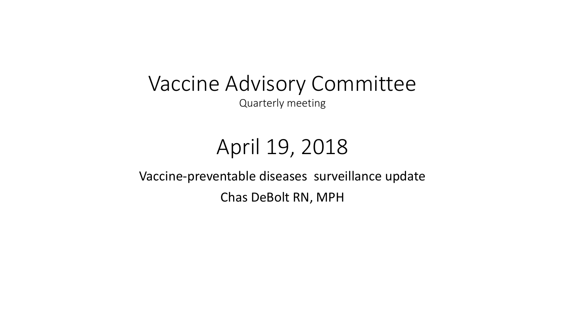Vaccine Advisory Committee Quarterly meeting

## April 19, 2018

Vaccine-preventable diseases surveillance update Chas DeBolt RN, MPH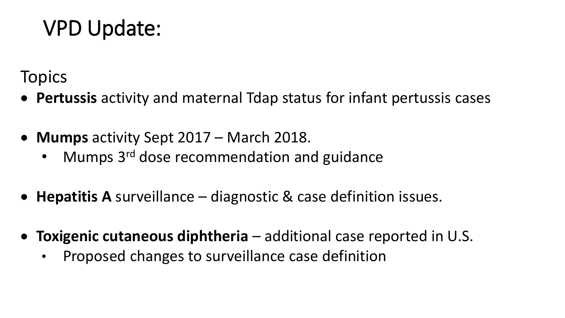## VPD Update:

**Topics** 

- **Pertussis** activity and maternal Tdap status for infant pertussis cases
- **Mumps** activity Sept 2017 March 2018.
	- Mumps 3<sup>rd</sup> dose recommendation and guidance
- **Hepatitis A** surveillance diagnostic & case definition issues.
- **Toxigenic cutaneous diphtheria** additional case reported in U.S.
	- Proposed changes to surveillance case definition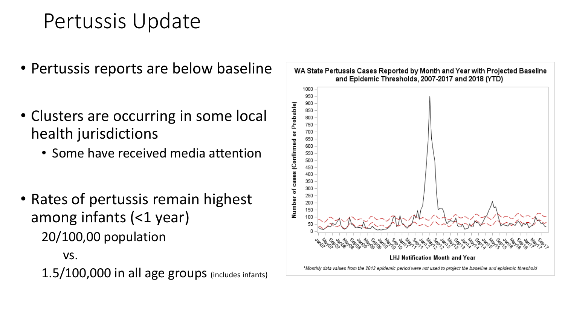## Pertussis Update

- Pertussis reports are below baseline
- Clusters are occurring in some local health jurisdictions
	- Some have received media attention
- Rates of pertussis remain highest among infants (<1 year) 20/100,00 population

vs. 1.5/100,000 in all age groups (includes infants)

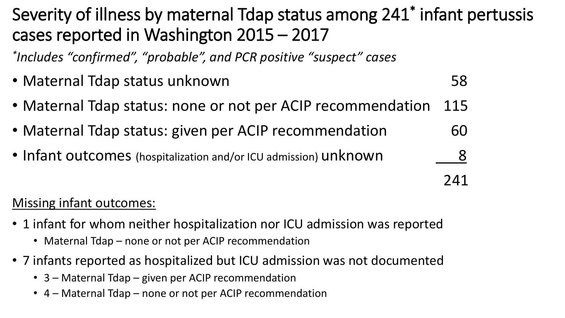### Severity of illness by maternal Tdap status among 241\* infant pertussis cases reported in Washington 2015 – 2017

*\* Includes "confirmed", "probable", and PCR positive "suspect" cases*

- Maternal Tdap status unknown 58
- Maternal Tdap status: none or not per ACIP recommendation 115
- Maternal Tdap status: given per ACIP recommendation 60
- Infant outcomes (hospitalization and/or ICU admission) unknown 8

241

### Missing infant outcomes:

- 1 infant for whom neither hospitalization nor ICU admission was reported
	- Maternal Tdap none or not per ACIP recommendation
- 7 infants reported as hospitalized but ICU admission was not documented
	- 3 Maternal Tdap given per ACIP recommendation
	- 4 Maternal Tdap none or not per ACIP recommendation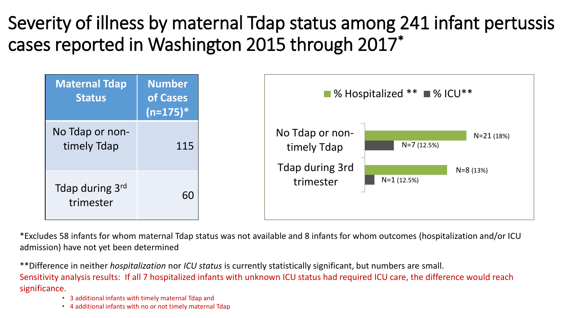## Severity of illness by maternal Tdap status among 241 infant pertussis cases reported in Washington 2015 through 2017\*



\*Excludes 58 infants for whom maternal Tdap status was not available and 8 infants for whom outcomes (hospitalization and/or ICU admission) have not yet been determined

\*\*Difference in neither *hospitalization* nor *ICU status* is currently statistically significant, but numbers are small. Sensitivity analysis results: If all 7 hospitalized infants with unknown ICU status had required ICU care, the difference would reach significance.

- 3 additional infants with timely maternal Tdap and
- 4 additional infants with no or not timely maternal Tdap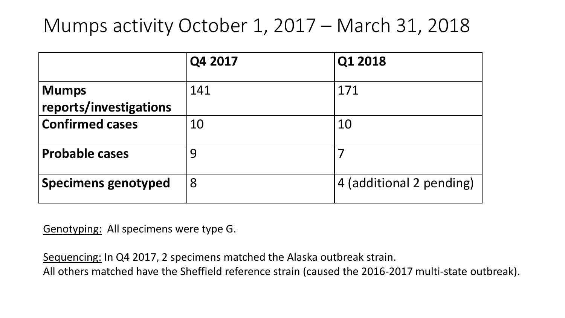### Mumps activity October 1, 2017 – March 31, 2018

|                                        | Q4 2017 | Q1 2018                  |
|----------------------------------------|---------|--------------------------|
| <b>Mumps</b><br>reports/investigations | 141     | 171                      |
| <b>Confirmed cases</b>                 | 10      | 10                       |
| <b>Probable cases</b>                  | 9       |                          |
| <b>Specimens genotyped</b>             | 8       | 4 (additional 2 pending) |

Genotyping: All specimens were type G.

Sequencing: In Q4 2017, 2 specimens matched the Alaska outbreak strain.

All others matched have the Sheffield reference strain (caused the 2016-2017 multi-state outbreak).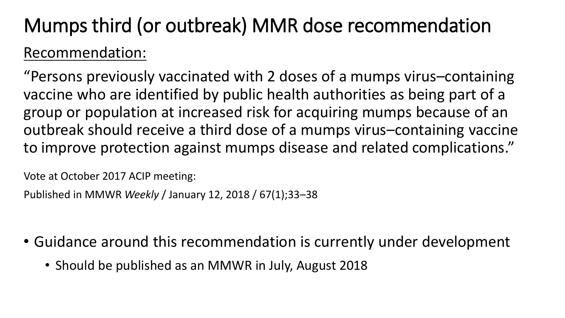## Mumps third (or outbreak) MMR dose recommendation Recommendation:

"Persons previously vaccinated with 2 doses of a mumps virus–containing vaccine who are identified by public health authorities as being part of a group or population at increased risk for acquiring mumps because of an outbreak should receive a third dose of a mumps virus–containing vaccine to improve protection against mumps disease and related complications."

Vote at October 2017 ACIP meeting:

Published in MMWR *Weekly* / January 12, 2018 / 67(1);33–38

- Guidance around this recommendation is currently under development
	- Should be published as an MMWR in July, August 2018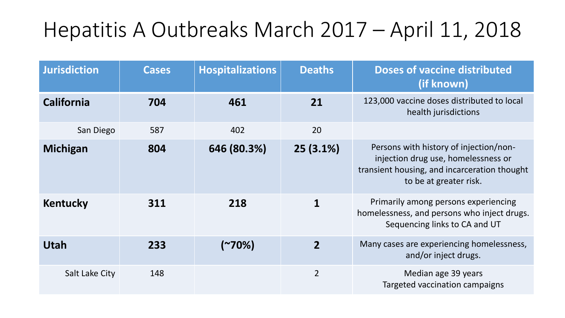# Hepatitis A Outbreaks March 2017 – April 11, 2018

| <b>Jurisdiction</b> | <b>Cases</b> | <b>Hospitalizations</b> | <b>Deaths</b>  | <b>Doses of vaccine distributed</b><br>(if known)                                                                                                       |
|---------------------|--------------|-------------------------|----------------|---------------------------------------------------------------------------------------------------------------------------------------------------------|
| <b>California</b>   | 704          | 461                     | 21             | 123,000 vaccine doses distributed to local<br>health jurisdictions                                                                                      |
| San Diego           | 587          | 402                     | 20             |                                                                                                                                                         |
| Michigan            | 804          | 646 (80.3%)             | $25(3.1\%)$    | Persons with history of injection/non-<br>injection drug use, homelessness or<br>transient housing, and incarceration thought<br>to be at greater risk. |
| <b>Kentucky</b>     | 311          | 218                     |                | Primarily among persons experiencing<br>homelessness, and persons who inject drugs.<br>Sequencing links to CA and UT                                    |
| <b>Utah</b>         | 233          | (~70%)                  | $\overline{2}$ | Many cases are experiencing homelessness,<br>and/or inject drugs.                                                                                       |
| Salt Lake City      | 148          |                         | $\overline{2}$ | Median age 39 years<br>Targeted vaccination campaigns                                                                                                   |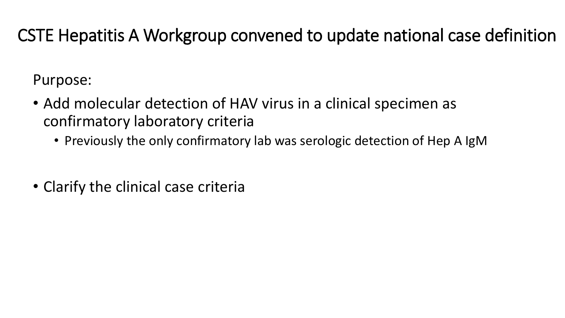### CSTE Hepatitis A Workgroup convened to update national case definition

Purpose:

- Add molecular detection of HAV virus in a clinical specimen as confirmatory laboratory criteria
	- Previously the only confirmatory lab was serologic detection of Hep A IgM
- Clarify the clinical case criteria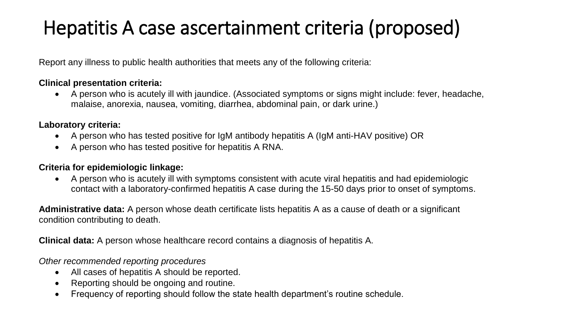## Hepatitis A case ascertainment criteria (proposed)

Report any illness to public health authorities that meets any of the following criteria:

#### **Clinical presentation criteria:**

 A person who is acutely ill with jaundice. (Associated symptoms or signs might include: fever, headache, malaise, anorexia, nausea, vomiting, diarrhea, abdominal pain, or dark urine.)

#### **Laboratory criteria:**

- A person who has tested positive for IgM antibody hepatitis A (IgM anti-HAV positive) OR
- A person who has tested positive for hepatitis A RNA.

#### **Criteria for epidemiologic linkage:**

 A person who is acutely ill with symptoms consistent with acute viral hepatitis and had epidemiologic contact with a laboratory-confirmed hepatitis A case during the 15-50 days prior to onset of symptoms.

**Administrative data:** A person whose death certificate lists hepatitis A as a cause of death or a significant condition contributing to death.

**Clinical data:** A person whose healthcare record contains a diagnosis of hepatitis A.

*Other recommended reporting procedures*

- All cases of hepatitis A should be reported.
- Reporting should be ongoing and routine.
- Frequency of reporting should follow the state health department's routine schedule.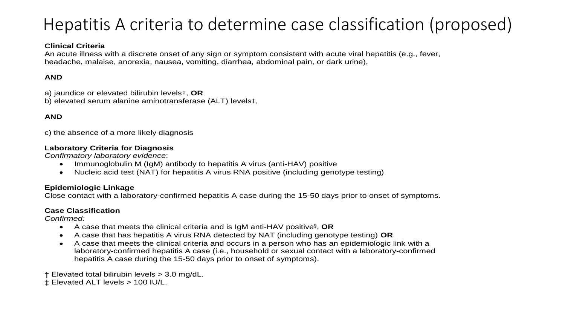### Hepatitis A criteria to determine case classification (proposed)

#### **Clinical Criteria**

An acute illness with a discrete onset of any sign or symptom consistent with acute viral hepatitis (e.g., fever, headache, malaise, anorexia, nausea, vomiting, diarrhea, abdominal pain, or dark urine),

#### **AND**

a) jaundice or elevated bilirubin levels†, **OR** b) elevated serum alanine aminotransferase (ALT) levels‡,

#### **AND**

c) the absence of a more likely diagnosis

#### **Laboratory Criteria for Diagnosis**

*Confirmatory laboratory evidence*:

- Immunoglobulin M (IgM) antibody to hepatitis A virus (anti-HAV) positive
- Nucleic acid test (NAT) for hepatitis A virus RNA positive (including genotype testing)

#### **Epidemiologic Linkage**

Close contact with a laboratory-confirmed hepatitis A case during the 15-50 days prior to onset of symptoms.

#### **Case Classification**

*Confirmed:* 

- A case that meets the clinical criteria and is IgM anti-HAV positive<sup>§</sup>, OR
- A case that has hepatitis A virus RNA detected by NAT (including genotype testing) **OR**
- A case that meets the clinical criteria and occurs in a person who has an epidemiologic link with a laboratory-confirmed hepatitis A case (i.e., household or sexual contact with a laboratory-confirmed hepatitis A case during the 15-50 days prior to onset of symptoms).
- † Elevated total bilirubin levels > 3.0 mg/dL.
- ‡ Elevated ALT levels > 100 IU/L.